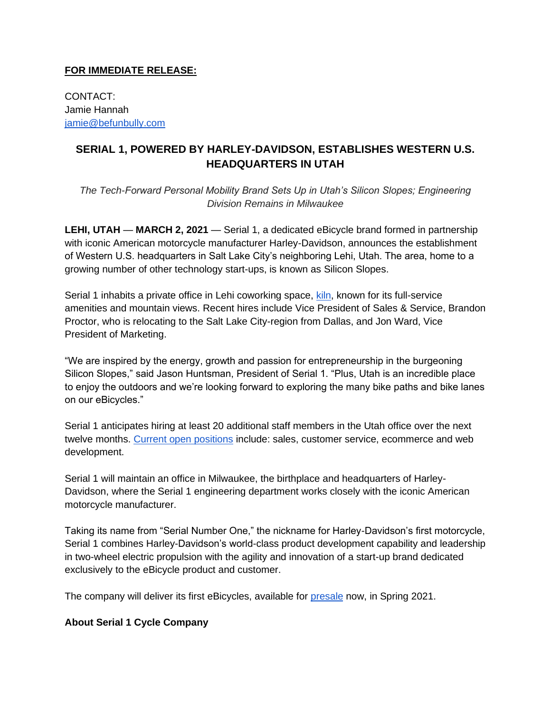## **FOR IMMEDIATE RELEASE:**

CONTACT: Jamie Hannah [jamie@befunbully.com](mailto:jamie@funbully.com)

## **SERIAL 1, POWERED BY HARLEY-DAVIDSON, ESTABLISHES WESTERN U.S. HEADQUARTERS IN UTAH**

*The Tech-Forward Personal Mobility Brand Sets Up in Utah's Silicon Slopes; Engineering Division Remains in Milwaukee* 

**LEHI, UTAH** — **MARCH 2, 2021** — Serial 1, a dedicated eBicycle brand formed in partnership with iconic American motorcycle manufacturer Harley-Davidson, announces the establishment of Western U.S. headquarters in Salt Lake City's neighboring Lehi, Utah. The area, home to a growing number of other technology start-ups, is known as Silicon Slopes.

Serial 1 inhabits a private office in Lehi coworking space, [kiln,](https://kiln.co/locations/lehi) known for its full-service amenities and mountain views. Recent hires include Vice President of Sales & Service, Brandon Proctor, who is relocating to the Salt Lake City-region from Dallas, and Jon Ward, Vice President of Marketing.

"We are inspired by the energy, growth and passion for entrepreneurship in the burgeoning Silicon Slopes," said Jason Huntsman, President of Serial 1. "Plus, Utah is an incredible place to enjoy the outdoors and we're looking forward to exploring the many bike paths and bike lanes on our eBicycles."

Serial 1 anticipates hiring at least 20 additional staff members in the Utah office over the next twelve months. [Current open positions](https://serial1.zohorecruit.com/jobs/Careers) include: sales, customer service, ecommerce and web development.

Serial 1 will maintain an office in Milwaukee, the birthplace and headquarters of Harley-Davidson, where the Serial 1 engineering department works closely with the iconic American motorcycle manufacturer.

Taking its name from "Serial Number One," the nickname for Harley-Davidson's first motorcycle, Serial 1 combines Harley-Davidson's world-class product development capability and leadership in two-wheel electric propulsion with the agility and innovation of a start-up brand dedicated exclusively to the eBicycle product and customer.

The company will deliver its first eBicycles, available for [presale](https://www.serial1.com/product/rush-speed/) now, in Spring 2021.

## **About Serial 1 Cycle Company**